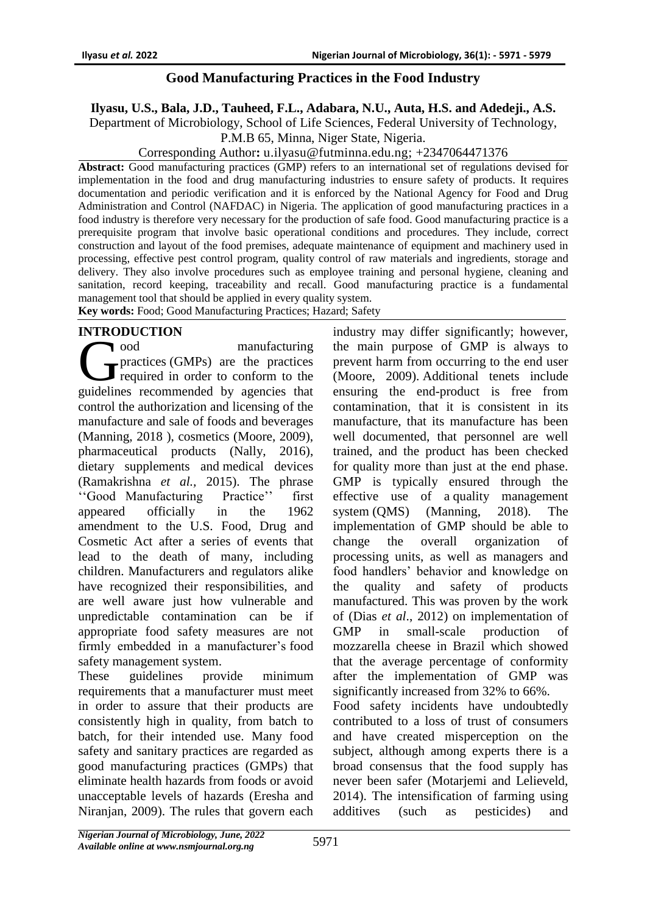### **Good Manufacturing Practices in the Food Industry**

**Ilyasu, U.S., Bala, J.D., Tauheed, F.L., Adabara, N.U., Auta, H.S. and Adedeji., A.S.**

Department of Microbiology, School of Life Sciences, Federal University of Technology,

P.M.B 65, Minna, Niger State, Nigeria.

Corresponding Author**:** u.ilyasu@futminna.edu.ng; +2347064471376

**Abstract:** Good manufacturing practices (GMP) refers to an international set of regulations devised for implementation in the food and drug manufacturing industries to ensure safety of products. It requires documentation and periodic verification and it is enforced by the National Agency for Food and Drug Administration and Control (NAFDAC) in Nigeria. The application of good manufacturing practices in a food industry is therefore very necessary for the production of safe food. Good manufacturing practice is a prerequisite program that involve basic operational conditions and procedures. They include, correct construction and layout of the food premises, adequate maintenance of equipment and machinery used in processing, effective pest control program, quality control of raw materials and ingredients, storage and delivery. They also involve procedures such as employee training and personal hygiene, cleaning and sanitation, record keeping, traceability and recall. Good manufacturing practice is a fundamental management tool that should be applied in every quality system. **Key words:** Food; Good Manufacturing Practices; Hazard; Safety

#### **INTRODUCTION**

ood manufacturing **T** practices (GMPs) are the practices required in order to conform to the manufacturing<br>
Tood manufacturing<br>
required in order to conform to the<br>
guidelines recommended by agencies that control the authorization and licensing of the manufacture and sale of [foods](https://en.wikipedia.org/wiki/Food_industry) and [beverages](https://en.wikipedia.org/wiki/Beverage_industry) (Manning, 2018 ), cosmetics (Moore, 2009), [pharmaceutical products](https://en.wikipedia.org/wiki/Medication) (Nally, 2016), dietary supplements and [medical devices](https://en.wikipedia.org/wiki/Medical_device) (Ramakrishna *et al.,* 2015). The phrase ''Good Manufacturing Practice'' first appeared officially in the 1962 amendment to the U.S. Food, Drug and Cosmetic Act after a series of events that lead to the death of many, including children. Manufacturers and regulators alike have recognized their responsibilities, and are well aware just how vulnerable and unpredictable contamination can be if appropriate food safety measures are not firmly embedded in a manufacturer's food safety management system.

These guidelines provide minimum requirements that a manufacturer must meet in order to assure that their products are consistently high in quality, from batch to batch, for their intended use. Many food safety and sanitary practices are regarded as good manufacturing practices (GMPs) that eliminate health hazards from foods or avoid unacceptable levels of hazards (Eresha and Niranjan, 2009). The rules that govern each

industry may differ significantly; however, the main purpose of GMP is always to prevent harm from occurring to the end user (Moore, 2009). Additional tenets include ensuring the end-product is free from contamination, that it is consistent in its manufacture, that its manufacture has been well documented, that personnel are well trained, and the product has been checked for quality more than just at the end phase. GMP is typically ensured through the effective use of a [quality management](https://en.wikipedia.org/wiki/Quality_management_system)  [system](https://en.wikipedia.org/wiki/Quality_management_system) (QMS) (Manning, 2018). The implementation of GMP should be able to change the overall organization of processing units, as well as managers and food handlers' behavior and knowledge on the quality and safety of products manufactured. This was proven by the work of (Dias *et al*., 2012) on implementation of GMP in small-scale production of mozzarella cheese in Brazil which showed that the average percentage of conformity after the implementation of GMP was significantly increased from 32% to 66%.

Food safety incidents have undoubtedly contributed to a loss of trust of consumers and have created misperception on the subject, although among experts there is a broad consensus that the food supply has never been safer (Motarjemi and Lelieveld, 2014). The intensification of farming using additives (such as pesticides) and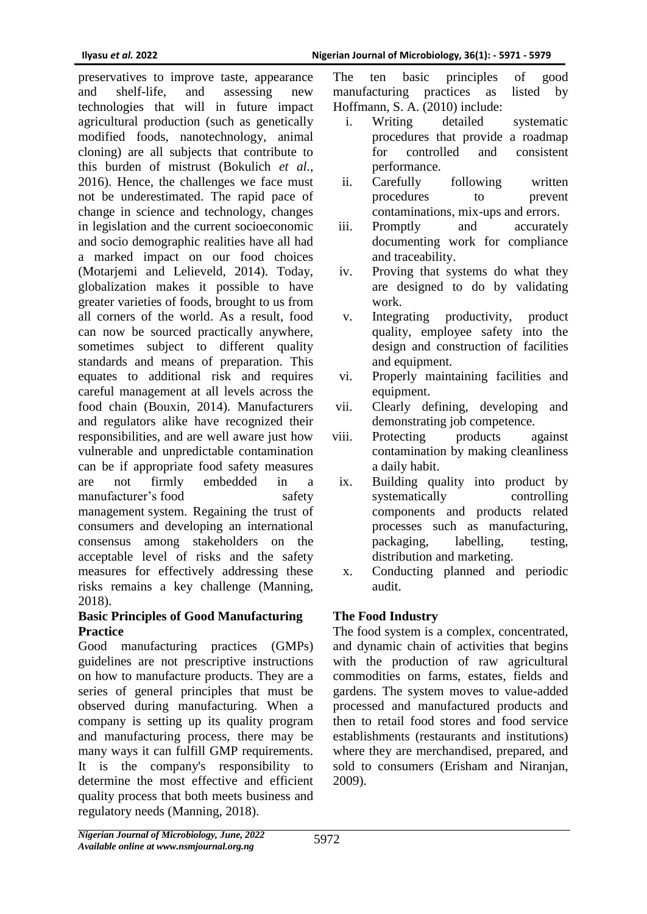preservatives to improve taste, appearance and shelf-life, and assessing new technologies that will in future impact agricultural production (such as genetically modified foods, nanotechnology, animal cloning) are all subjects that contribute to this burden of mistrust (Bokulich *et al*., 2016). Hence, the challenges we face must not be underestimated. The rapid pace of change in science and technology, changes in legislation and the current socioeconomic and socio demographic realities have all had a marked impact on our food choices (Motarjemi and Lelieveld, 2014). Today, globalization makes it possible to have greater varieties of foods, brought to us from all corners of the world. As a result, food can now be sourced practically anywhere, sometimes subject to different quality standards and means of preparation. This equates to additional risk and requires careful management at all levels across the food chain (Bouxin, 2014). Manufacturers and regulators alike have recognized their responsibilities, and are well aware just how vulnerable and unpredictable contamination can be if appropriate food safety measures are not firmly embedded in a manufacturer's food safety [management](https://www.sciencedirect.com/topics/food-science/food-safety-management) system. Regaining the trust of consumers and developing an international consensus among stakeholders on the acceptable level of risks and the safety measures for effectively addressing these risks remains a key challenge (Manning, 2018).

#### **Basic Principles of Good Manufacturing Practice**

Good manufacturing practices (GMPs) guidelines are not prescriptive instructions on how to manufacture products. They are a series of general principles that must be observed during manufacturing. When a company is setting up its quality program and manufacturing process, there may be many ways it can fulfill GMP requirements. It is the company's responsibility to determine the most effective and efficient quality process that both meets business and regulatory needs (Manning, 2018).

The ten basic principles of good manufacturing practices as listed by Hoffmann, S. A. (2010) include:

- i. Writing detailed systematic procedures that provide a roadmap for controlled and consistent performance.
- ii. Carefully following written procedures to prevent contaminations, mix-ups and errors.
- iii. Promptly and accurately documenting work for compliance and traceability.
- iv. Proving that systems do what they are designed to do by validating work.
- v. Integrating productivity, product quality, employee safety into the design and construction of facilities and equipment.
- vi. Properly maintaining facilities and equipment.
- vii. Clearly defining, developing and demonstrating job competence.
- viii. Protecting products against contamination by making cleanliness a daily habit.
- ix. Building quality into product by systematically controlling components and products related processes such as manufacturing, packaging, labelling, testing, distribution and marketing.
- x. Conducting planned and periodic audit.

# **The Food Industry**

The food system is a complex, concentrated, and dynamic chain of activities that begins with the production of raw agricultural commodities on farms, estates, fields and gardens. The system moves to value-added processed and manufactured products and then to retail food stores and food service establishments (restaurants and institutions) where they are merchandised, prepared, and sold to consumers (Erisham and Niranjan, 2009).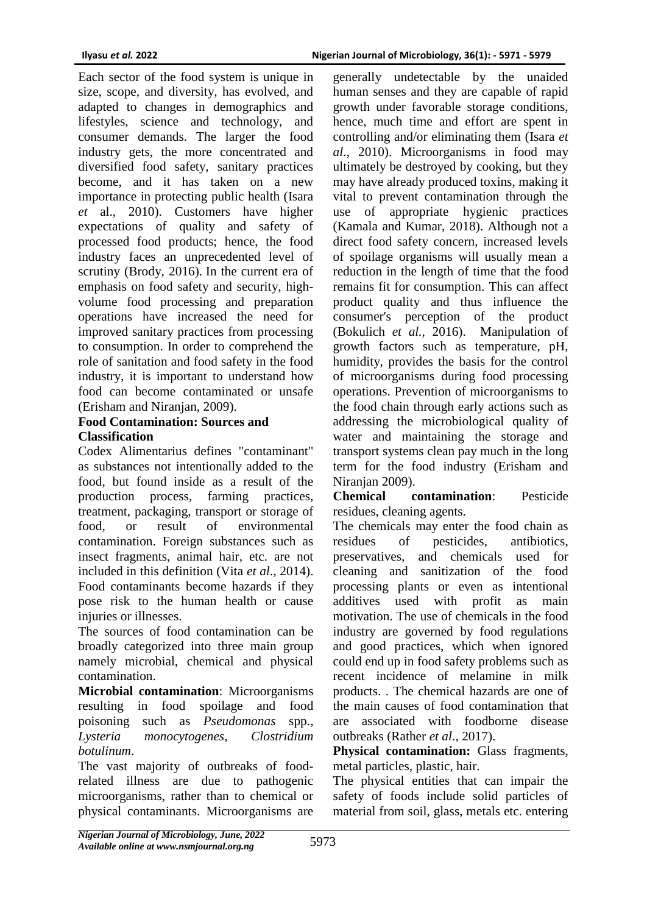Each sector of the food system is unique in size, scope, and diversity, has evolved, and adapted to changes in demographics and lifestyles, science and technology, and consumer demands. The larger the food industry gets, the more concentrated and diversified food safety, sanitary practices become, and it has taken on a new importance in protecting public health (Isara *et* al., 2010). Customers have higher expectations of quality and safety of processed food products; hence, the food industry faces an unprecedented level of scrutiny (Brody, 2016). In the current era of emphasis on food safety and security, highvolume food processing and preparation operations have increased the need for improved sanitary practices from processing to consumption. In order to comprehend the role of sanitation and food safety in the food industry, it is important to understand how food can become contaminated or unsafe (Erisham and Niranjan, 2009).

#### **Food Contamination: Sources and Classification**

Codex Alimentarius defines "contaminant" as substances not intentionally added to the food, but found inside as a result of the production process, farming practices, treatment, packaging, transport or storage of food, or result of environmental contamination. Foreign substances such as insect fragments, animal hair, etc. are not included in this definition (Vita *et al*., 2014). Food contaminants become hazards if they pose risk to the human health or cause injuries or illnesses.

The sources of food contamination can be broadly categorized into three main group namely microbial, chemical and physical contamination.

**Microbial contamination**: Microorganisms resulting in food spoilage and food poisoning such as *Pseudomonas* spp., *Lysteria monocytogenes, Clostridium botulinum*.

The vast majority of outbreaks of foodrelated illness are due to pathogenic microorganisms, rather than to chemical or physical contaminants. Microorganisms are

generally undetectable by the unaided human senses and they are capable of rapid growth under favorable storage conditions, hence, much time and effort are spent in controlling and/or eliminating them (Isara *et al*., 2010). Microorganisms in food may ultimately be destroyed by cooking, but they may have already produced toxins, making it vital to prevent contamination through the use of appropriate hygienic practices (Kamala and Kumar, 2018). Although not a direct food safety concern, increased levels of spoilage organisms will usually mean a reduction in the length of time that the food remains fit for consumption. This can affect product quality and thus influence the consumer's perception of the product (Bokulich *et al.,* 2016). Manipulation of growth factors such as temperature, pH, humidity, provides the basis for the control of microorganisms during food processing operations. Prevention of microorganisms to the food chain through early actions such as addressing the microbiological quality of water and maintaining the storage and transport systems clean pay much in the long term for the food industry (Erisham and Niranian 2009).

**Chemical contamination**: Pesticide residues, cleaning agents.

The chemicals may enter the food chain as residues of pesticides, antibiotics, preservatives, and chemicals used for cleaning and sanitization of the food processing plants or even as intentional additives used with profit as main motivation. The use of chemicals in the food industry are governed by food regulations and good practices, which when ignored could end up in food safety problems such as recent incidence of melamine in milk products. . The chemical hazards are one of the main causes of food contamination that are associated with foodborne disease outbreaks (Rather *et al*., 2017).

**Physical contamination:** Glass fragments, metal particles, plastic, hair.

The physical entities that can impair the safety of foods include solid particles of material from soil, glass, metals etc. entering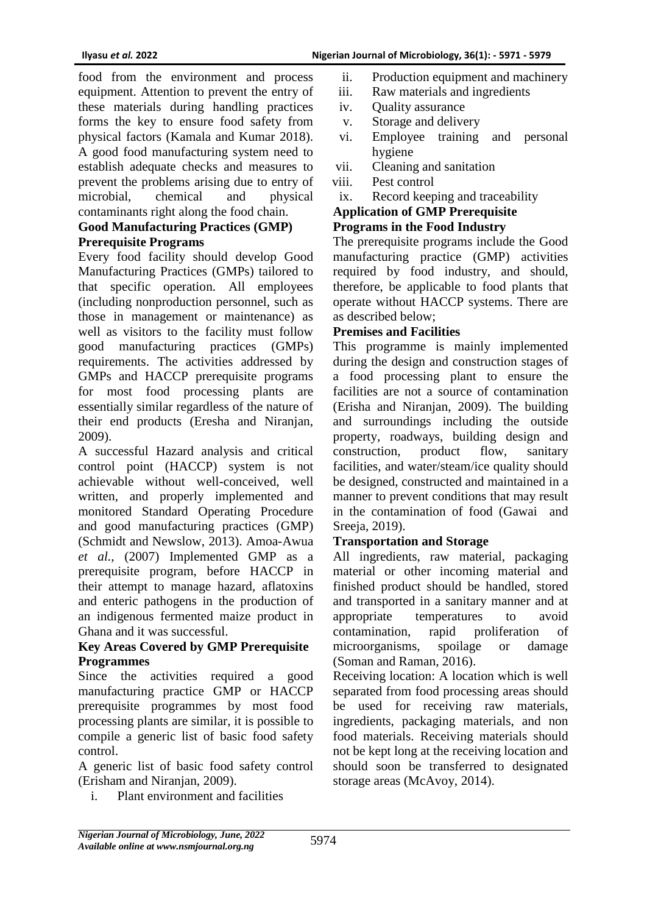food from the environment and process equipment. Attention to prevent the entry of these materials during handling practices forms the key to ensure food safety from physical factors (Kamala and Kumar 2018). A good food manufacturing system need to establish adequate checks and measures to prevent the problems arising due to entry of microbial, chemical and physical contaminants right along the food chain.

#### **Good Manufacturing Practices (GMP) Prerequisite Programs**

Every food facility should develop Good Manufacturing Practices (GMPs) tailored to that specific operation. All employees (including nonproduction personnel, such as those in management or maintenance) as well as visitors to the facility must follow good manufacturing practices (GMPs) requirements. The activities addressed by GMPs and HACCP prerequisite programs for most food processing plants are essentially similar regardless of the nature of their end products (Eresha and Niranjan, 2009).

A successful Hazard analysis and critical control point (HACCP) system is not achievable without well-conceived, well written, and properly implemented and monitored Standard Operating Procedure and good manufacturing practices (GMP) (Schmidt and Newslow, 2013). Amoa-Awua *et al.,* (2007) Implemented GMP as a prerequisite program, before HACCP in their attempt to manage hazard, aflatoxins and enteric pathogens in the production of an indigenous fermented maize product in Ghana and it was successful.

# **Key Areas Covered by GMP Prerequisite Programmes**

Since the activities required a good manufacturing practice GMP or HACCP prerequisite programmes by most food processing plants are similar, it is possible to compile a generic list of basic food safety control.

A generic list of basic food safety control (Erisham and Niranjan, 2009).

i. Plant environment and facilities

- ii. Production equipment and machinery
- iii. Raw materials and ingredients
- iv. Quality assurance
- v. Storage and delivery
- vi. Employee training and personal hygiene
- vii. Cleaning and sanitation
- viii. Pest control
- ix. Record keeping and traceability

### **Application of GMP Prerequisite**

#### **Programs in the Food Industry**

The prerequisite programs include the Good manufacturing practice (GMP) activities required by food industry, and should, therefore, be applicable to food plants that operate without HACCP systems. There are as described below;

#### **Premises and Facilities**

This programme is mainly implemented during the design and construction stages of a food processing plant to ensure the facilities are not a source of contamination (Erisha and Niranjan, 2009). The building and surroundings including the outside property, roadways, building design and construction, product flow, sanitary facilities, and water/steam/ice quality should be designed, constructed and maintained in a manner to prevent conditions that may result in the contamination of food (Gawai and Sreeja, 2019).

#### **Transportation and Storage**

All ingredients, raw material, packaging material or other incoming material and finished product should be handled, stored and transported in a sanitary manner and at appropriate temperatures to avoid contamination, rapid proliferation of microorganisms, spoilage or damage (Soman and Raman, 2016).

Receiving location: A location which is well separated from food processing areas should be used for receiving raw materials, ingredients, packaging materials, and non food materials. Receiving materials should not be kept long at the receiving location and should soon be transferred to designated storage areas (McAvoy, 2014).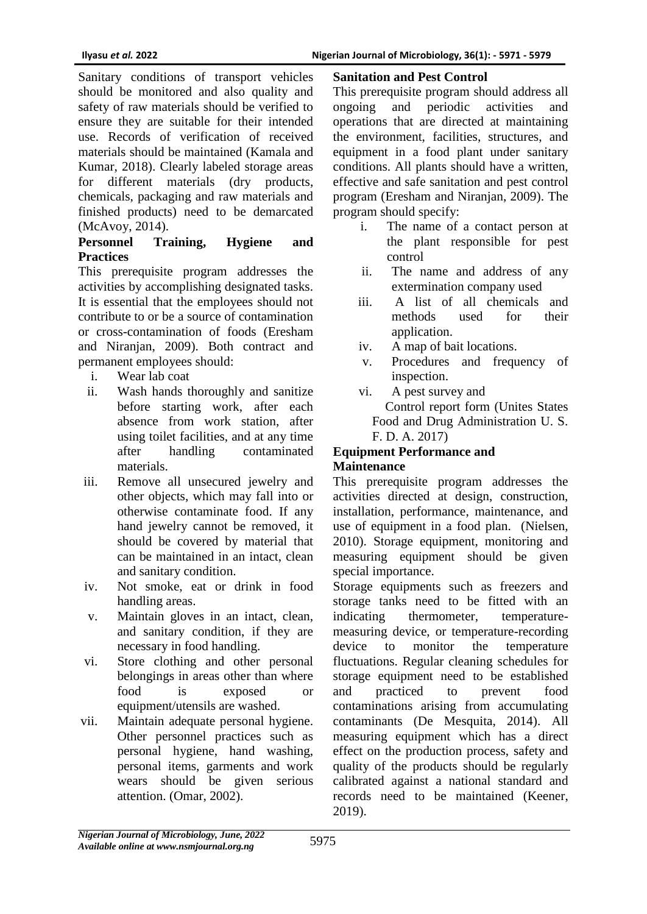Sanitary conditions of transport vehicles should be monitored and also quality and safety of raw materials should be verified to ensure they are suitable for their intended use. Records of verification of received materials should be maintained (Kamala and Kumar, 2018). Clearly labeled storage areas for different materials (dry products, chemicals, packaging and raw materials and finished products) need to be demarcated (McAvoy, 2014).

# **Personnel Training, Hygiene and Practices**

This prerequisite program addresses the activities by accomplishing designated tasks. It is essential that the employees should not contribute to or be a source of contamination or cross-contamination of foods (Eresham and Niranjan, 2009). Both contract and permanent employees should:

i. Wear lab coat

- ii. Wash hands thoroughly and sanitize before starting work, after each absence from work station, after using toilet facilities, and at any time after handling contaminated materials.
- iii. Remove all unsecured jewelry and other objects, which may fall into or otherwise contaminate food. If any hand jewelry cannot be removed, it should be covered by material that can be maintained in an intact, clean and sanitary condition.
- iv. Not smoke, eat or drink in food handling areas.
- v. Maintain gloves in an intact, clean, and sanitary condition, if they are necessary in food handling.
- vi. Store clothing and other personal belongings in areas other than where food is exposed or equipment/utensils are washed.
- vii. Maintain adequate personal hygiene. Other personnel practices such as personal hygiene, hand washing, personal items, garments and work wears should be given serious attention. (Omar, 2002).

#### **Sanitation and Pest Control**

This prerequisite program should address all ongoing and periodic activities and operations that are directed at maintaining the environment, facilities, structures, and equipment in a food plant under sanitary conditions. All plants should have a written, effective and safe sanitation and pest control program (Eresham and Niranjan, 2009). The program should specify:

- i. The name of a contact person at the plant responsible for pest control
- ii. The name and address of any extermination company used
- iii. A list of all chemicals and methods used for their application.
- iv. A map of bait locations.
- v. Procedures and frequency of inspection.
- vi. A pest survey and Control report form (Unites States Food and Drug Administration U. S. F. D. A. 2017)

# **Equipment Performance and**

# **Maintenance**

This prerequisite program addresses the activities directed at design, construction, installation, performance, maintenance, and use of equipment in a food plan. (Nielsen, 2010). Storage equipment, monitoring and measuring equipment should be given special importance.

Storage equipments such as freezers and storage tanks need to be fitted with an indicating thermometer, temperaturemeasuring device, or temperature-recording device to monitor the temperature fluctuations. Regular cleaning schedules for storage equipment need to be established and practiced to prevent food contaminations arising from accumulating contaminants (De Mesquita, 2014). All measuring equipment which has a direct effect on the production process, safety and quality of the products should be regularly calibrated against a national standard and records need to be maintained (Keener, 2019).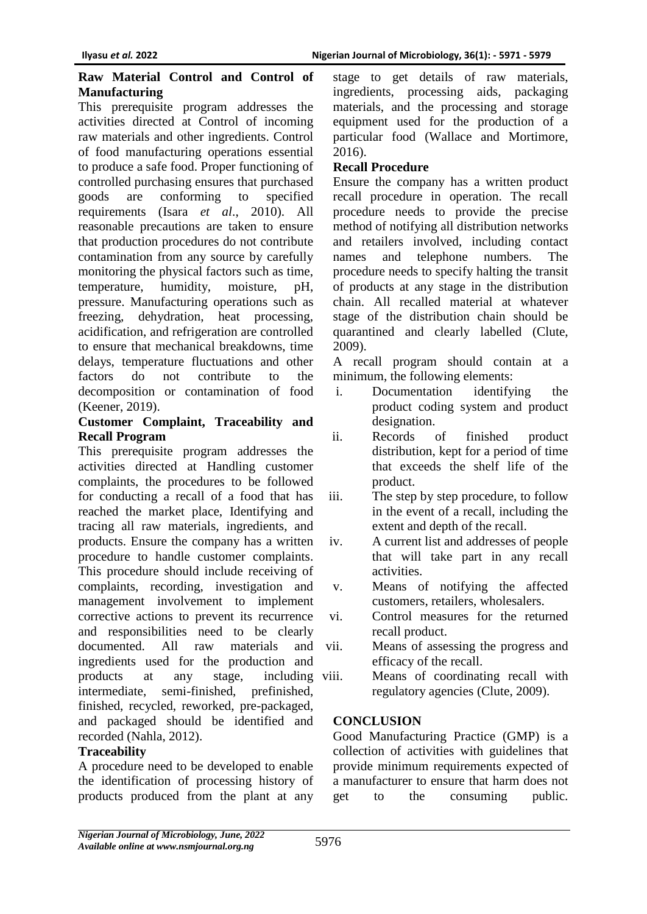#### **Raw Material Control and Control of Manufacturing**

This prerequisite program addresses the activities directed at Control of incoming raw materials and other ingredients. Control of food manufacturing operations essential to produce a safe food. Proper functioning of controlled purchasing ensures that purchased goods are conforming to specified requirements (Isara *et al*., 2010). All reasonable precautions are taken to ensure that production procedures do not contribute contamination from any source by carefully monitoring the physical factors such as time, temperature, humidity, moisture, pH, pressure. Manufacturing operations such as freezing, dehydration, heat processing, acidification, and refrigeration are controlled to ensure that mechanical breakdowns, time delays, temperature fluctuations and other factors do not contribute to the decomposition or contamination of food (Keener, 2019).

#### **Customer Complaint, Traceability and Recall Program**

This prerequisite program addresses the activities directed at Handling customer complaints, the procedures to be followed for conducting a recall of a food that has reached the market place, Identifying and tracing all raw materials, ingredients, and products. Ensure the company has a written procedure to handle customer complaints. This procedure should include receiving of complaints, recording, investigation and management involvement to implement corrective actions to prevent its recurrence and responsibilities need to be clearly documented. All raw materials and ingredients used for the production and products at any stage, including intermediate, semi-finished, prefinished, finished, recycled, reworked, pre-packaged, and packaged should be identified and recorded (Nahla, 2012).

# **Traceability**

A procedure need to be developed to enable the identification of processing history of products produced from the plant at any

stage to get details of raw materials, ingredients, processing aids, packaging materials, and the processing and storage equipment used for the production of a particular food (Wallace and Mortimore, 2016).

# **Recall Procedure**

Ensure the company has a written product recall procedure in operation. The recall procedure needs to provide the precise method of notifying all distribution networks and retailers involved, including contact names and telephone numbers. The procedure needs to specify halting the transit of products at any stage in the distribution chain. All recalled material at whatever stage of the distribution chain should be quarantined and clearly labelled (Clute, 2009).

A recall program should contain at a minimum, the following elements:

- i. Documentation identifying the product coding system and product designation.
- ii. Records of finished product distribution, kept for a period of time that exceeds the shelf life of the product.
- iii. The step by step procedure, to follow in the event of a recall, including the extent and depth of the recall.
- iv. A current list and addresses of people that will take part in any recall activities.
- v. Means of notifying the affected customers, retailers, wholesalers.
- vi. Control measures for the returned recall product.
- vii. Means of assessing the progress and efficacy of the recall.
- Means of coordinating recall with regulatory agencies (Clute, 2009).

# **CONCLUSION**

Good Manufacturing Practice (GMP) is a collection of activities with guidelines that provide minimum requirements expected of a manufacturer to ensure that harm does not get to the consuming public.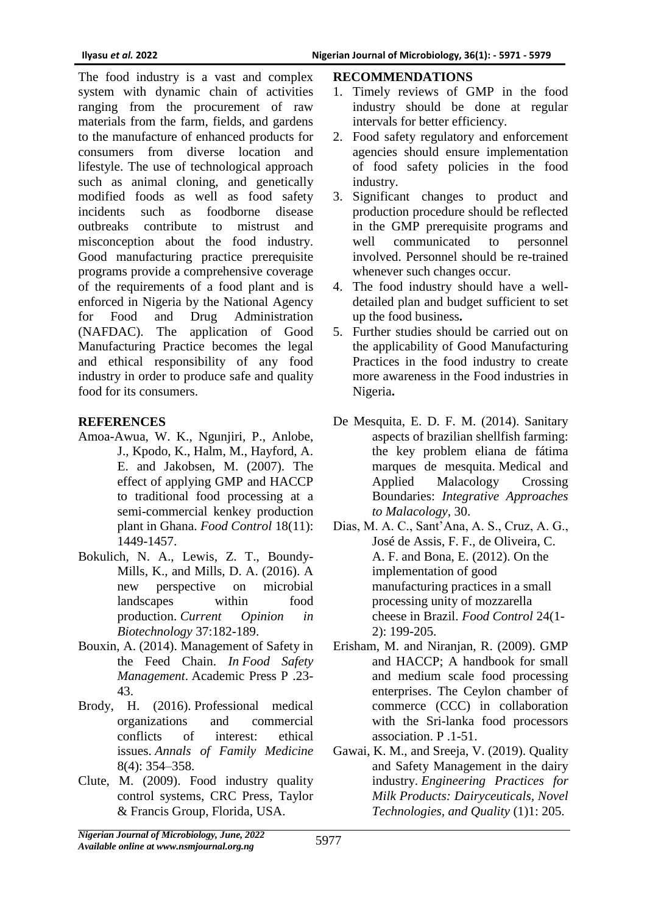The food industry is a vast and complex system with dynamic chain of activities ranging from the procurement of raw materials from the farm, fields, and gardens to the manufacture of enhanced products for consumers from diverse location and lifestyle. The use of technological approach such as animal cloning, and genetically modified foods as well as food safety incidents such as foodborne disease outbreaks contribute to mistrust and misconception about the food industry. Good manufacturing practice prerequisite programs provide a comprehensive coverage of the requirements of a food plant and is enforced in Nigeria by the National Agency for Food and Drug Administration (NAFDAC). The application of Good Manufacturing Practice becomes the legal and ethical responsibility of any food industry in order to produce safe and quality food for its consumers.

#### **REFERENCES**

- Amoa-Awua, W. K., Ngunjiri, P., Anlobe, J., Kpodo, K., Halm, M., Hayford, A. E. and Jakobsen, M. (2007). The effect of applying GMP and HACCP to traditional food processing at a semi-commercial kenkey production plant in Ghana. *Food Control* 18(11): 1449-1457.
- Bokulich, N. A., Lewis, Z. T., Boundy-Mills, K., and Mills, D. A. (2016). A new perspective on microbial landscapes within food production. *Current Opinion in Biotechnology* 37:182-189.
- Bouxin, A. (2014). Management of Safety in the Feed Chain. *In Food Safety Management*. Academic Press P .23- 43.
- Brody, H. (2016). [Professional medical](https://www.ncbi.nlm.nih.gov/pmc/articles/PMC2906531)  [organizations and commercial](https://www.ncbi.nlm.nih.gov/pmc/articles/PMC2906531)  [conflicts of interest: ethical](https://www.ncbi.nlm.nih.gov/pmc/articles/PMC2906531)  [issues.](https://www.ncbi.nlm.nih.gov/pmc/articles/PMC2906531) *Annals of Family Medicine* 8(4): 354–358.
- Clute, M. (2009). Food industry quality control systems, CRC Press, Taylor & Francis Group, Florida, USA.

### **RECOMMENDATIONS**

- 1. Timely reviews of GMP in the food industry should be done at regular intervals for better efficiency.
- 2. Food safety regulatory and enforcement agencies should ensure implementation of food safety policies in the food industry.
- 3. Significant changes to product and production procedure should be reflected in the GMP prerequisite programs and well communicated to personnel involved. Personnel should be re-trained whenever such changes occur.
- 4. The food industry should have a welldetailed plan and budget sufficient to set up the food business**.**
- 5. Further studies should be carried out on the applicability of Good Manufacturing Practices in the food industry to create more awareness in the Food industries in Nigeria**.**
- De Mesquita, E. D. F. M. (2014). Sanitary aspects of brazilian shellfish farming: the key problem eliana de fátima marques de mesquita. Medical and Applied Malacology Crossing Boundaries: *Integrative Approaches to Malacology,* 30.
- Dias, M. A. C., Sant'Ana, A. S., Cruz, A. G., José de Assis, F. F., de Oliveira, C. A. F. and Bona, E. (2012). On the implementation of good manufacturing practices in a small processing unity of mozzarella cheese in Brazil. *Food Control* 24(1- 2): 199-205.
- Erisham, M. and Niranjan, R. (2009). GMP and HACCP; A handbook for small and medium scale food processing enterprises. The Ceylon chamber of commerce (CCC) in collaboration with the Sri-lanka food processors association. P .1-51.
- Gawai, K. M., and Sreeja, V. (2019). Quality and Safety Management in the dairy industry. *Engineering Practices for Milk Products: Dairyceuticals, Novel Technologies, and Quality* (1)1: 205.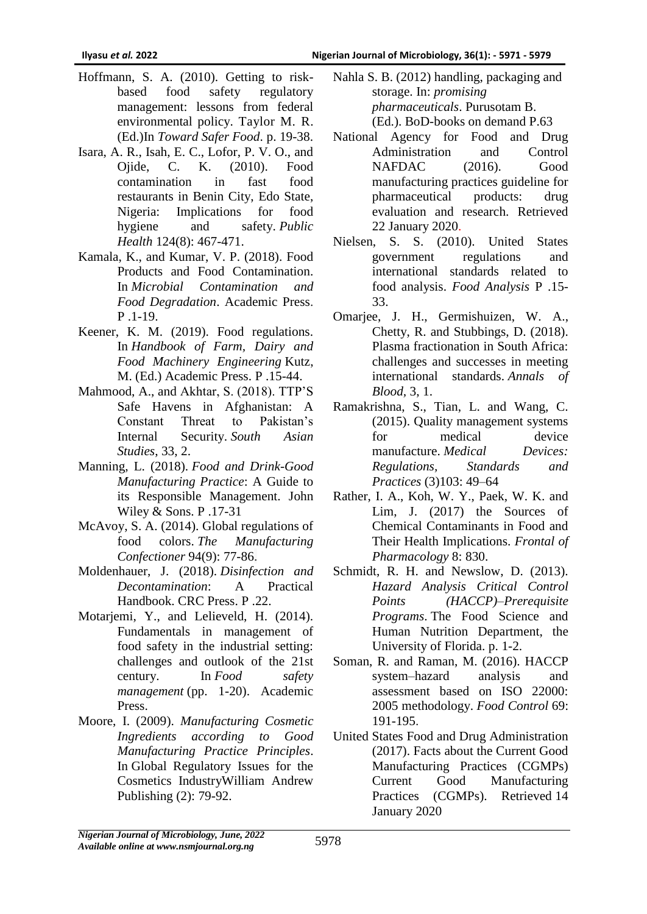- Hoffmann, S. A. (2010). Getting to riskbased food safety regulatory management: lessons from federal environmental policy. Taylor M. R. (Ed.)In *Toward Safer Food*. p. 19-38.
- Isara, A. R., Isah, E. C., Lofor, P. V. O., and Ojide, C. K. (2010). Food contamination in fast food restaurants in Benin City, Edo State, Nigeria: Implications for food hygiene and safety. *Public Health* 124(8): 467-471.
- Kamala, K., and Kumar, V. P. (2018). Food Products and Food Contamination. In *Microbial Contamination and Food Degradation*. Academic Press. P .1-19.
- Keener, K. M. (2019). Food regulations. In *Handbook of Farm, Dairy and Food Machinery Engineering* Kutz, M. (Ed.) Academic Press. P .15-44.
- Mahmood, A., and Akhtar, S. (2018). TTP'S Safe Havens in Afghanistan: A Constant Threat to Pakistan's Internal Security. *South Asian Studies*, 33, 2.
- Manning, L. (2018). *Food and Drink-Good Manufacturing Practice*: A Guide to its Responsible Management. John Wiley & Sons. P .17-31
- McAvoy, S. A. (2014). Global regulations of food colors. *The Manufacturing Confectioner* 94(9): 77-86.
- Moldenhauer, J. (2018). *Disinfection and Decontamination*: A Practical Handbook. CRC Press. P .22.
- Motarjemi, Y., and Lelieveld, H. (2014). Fundamentals in management of food safety in the industrial setting: challenges and outlook of the 21st century. In *Food safety management* (pp. 1-20). Academic Press.
- Moore, I. (2009). *Manufacturing Cosmetic Ingredients according to Good Manufacturing Practice Principles*. In Global Regulatory Issues for the Cosmetics IndustryWilliam Andrew Publishing (2): 79-92.
- Nahla S. B. (2012) handling, packaging and storage. In: *promising pharmaceuticals*. Purusotam B. (Ed.). BoD-books on demand P.63
- National Agency for Food and Drug Administration and Control NAFDAC (2016). Good manufacturing practices guideline for pharmaceutical products: drug evaluation and research. Retrieved 22 January 2020.
- Nielsen, S. S. (2010). United States government regulations and international standards related to food analysis. *Food Analysis* P .15- 33.
- Omarjee, J. H., Germishuizen, W. A., Chetty, R. and Stubbings, D. (2018). Plasma fractionation in South Africa: challenges and successes in meeting international standards. *Annals of Blood,* 3, 1.
- Ramakrishna, S., Tian, L. and Wang, C. (2015). Quality management systems for medical device manufacture. *[Medical Devices:](https://books.google.com/books?id=B5SZBgAAQBAJ&printsec=frontcover)  [Regulations, Standards and](https://books.google.com/books?id=B5SZBgAAQBAJ&printsec=frontcover)  [Practices](https://books.google.com/books?id=B5SZBgAAQBAJ&printsec=frontcover)* (3)103: 49–64
- Rather, I. A., Koh, W. Y., Paek, W. K. and Lim, J. (2017) the Sources of Chemical Contaminants in Food and Their Health Implications. *Frontal of Pharmacology* 8: 830.
- Schmidt, R. H. and Newslow, D. (2013). *Hazard Analysis Critical Control Points (HACCP)–Prerequisite Programs*. The Food Science and Human Nutrition Department, the University of Florida. p. 1-2.
- Soman, R. and Raman, M. (2016). HACCP system–hazard analysis and assessment based on ISO 22000: 2005 methodology. *Food Control* 69: 191-195.
- United States Food and Drug Administration (2017). Facts about the Current Good Manufacturing Practices (CGMPs) Current Good Manufacturing Practices (CGMPs). Retrieved 14 January 2020

*Nigerian Journal of Microbiology, June, 2022 Available online at www.nsmjournal.org.ng*